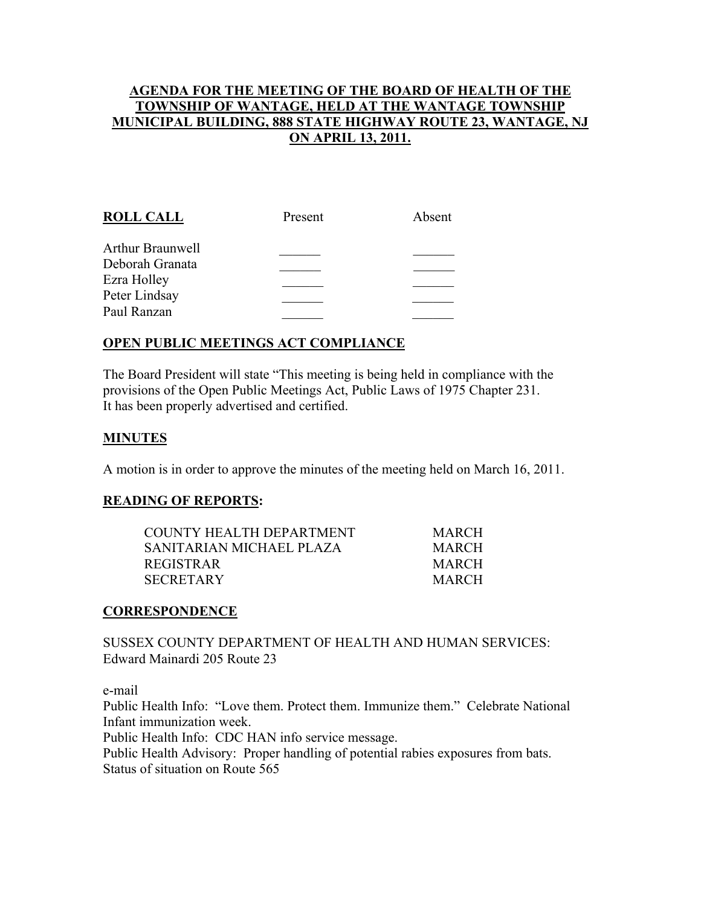## AGENDA FOR THE MEETING OF THE BOARD OF HEALTH OF THE TOWNSHIP OF WANTAGE, HELD AT THE WANTAGE TOWNSHIP MUNICIPAL BUILDING, 888 STATE HIGHWAY ROUTE 23, WANTAGE, NJ ON APRIL 13, 2011.

| <b>ROLL CALL</b> | Present | Absent |
|------------------|---------|--------|
| Arthur Braunwell |         |        |
| Deborah Granata  |         |        |
| Ezra Holley      |         |        |
| Peter Lindsay    |         |        |
| Paul Ranzan      |         |        |
|                  |         |        |

# OPEN PUBLIC MEETINGS ACT COMPLIANCE

The Board President will state "This meeting is being held in compliance with the provisions of the Open Public Meetings Act, Public Laws of 1975 Chapter 231. It has been properly advertised and certified.

### **MINUTES**

A motion is in order to approve the minutes of the meeting held on March 16, 2011.

#### READING OF REPORTS:

| COUNTY HEALTH DEPARTMENT  | <b>MARCH</b> |
|---------------------------|--------------|
| SANITARIAN MICHAEL PLAZA- | <b>MARCH</b> |
| REGISTRAR                 | <b>MARCH</b> |
| SECRETARY                 | MARCH        |

#### **CORRESPONDENCE**

SUSSEX COUNTY DEPARTMENT OF HEALTH AND HUMAN SERVICES: Edward Mainardi 205 Route 23

e-mail

Public Health Info: "Love them. Protect them. Immunize them." Celebrate National Infant immunization week.

Public Health Info: CDC HAN info service message.

Public Health Advisory: Proper handling of potential rabies exposures from bats. Status of situation on Route 565